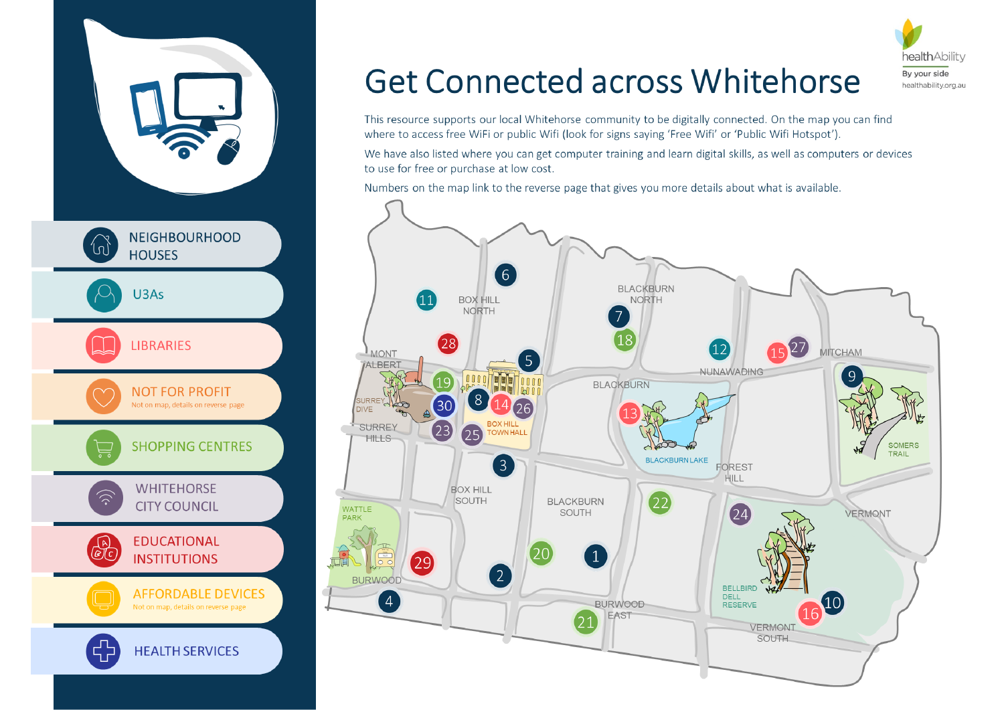

# **Get Connected across Whitehorse**

This resource supports our local Whitehorse community to be digitally connected. On the map you can find where to access free WiFi or public Wifi (look for signs saying 'Free Wifi' or 'Public Wifi Hotspot').

We have also listed where you can get computer training and learn digital skills, as well as computers or devices to use for free or purchase at low cost.

Numbers on the map link to the reverse page that gives you more details about what is available.







By your side healthability.org.au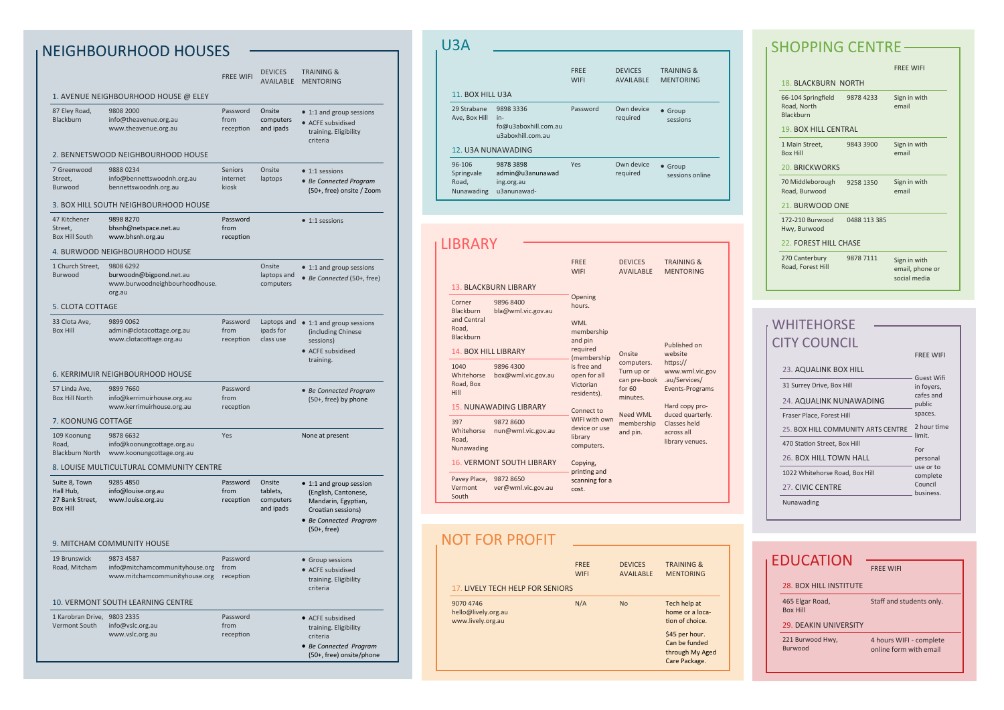|                                                                  |                                                                                                                                          | <b>FREE WIFI</b>                    | <b>DEVICES</b><br><b>AVAILABLE</b>           | <b>TRAINING &amp;</b><br><b>MENTORING</b>                                                                                                |
|------------------------------------------------------------------|------------------------------------------------------------------------------------------------------------------------------------------|-------------------------------------|----------------------------------------------|------------------------------------------------------------------------------------------------------------------------------------------|
| 87 Eley Road,<br><b>Blackburn</b>                                | 1. AVENUE NEIGHBOURHOOD HOUSE @ ELEY<br>9808 2000<br>info@theavenue.org.au<br>www.theavenue.org.au<br>2. BENNETSWOOD NEIGHBOURHOOD HOUSE | Password<br>from<br>reception       | Onsite<br>computers<br>and ipads             | • 1:1 and group sessions<br>• ACFE subsidised<br>training. Eligibility<br>criteria                                                       |
| 7 Greenwood<br>Street,<br><b>Burwood</b>                         | 98880234<br>info@bennettswoodnh.org.au<br>bennettswoodnh.org.au<br>3. BOX HILL SOUTH NEIGHBOURHOOD HOUSE                                 | <b>Seniors</b><br>internet<br>kiosk | Onsite<br>laptops                            | $\bullet$ 1:1 sessions<br>• Be Connected Program<br>(50+, free) onsite / Zoom                                                            |
| 47 Kitchener<br>Street,<br><b>Box Hill South</b>                 | 9898 8270<br>bhsnh@netspace.net.au<br>www.bhsnh.org.au<br>4. BURWOOD NEIGHBOURHOOD HOUSE                                                 | Password<br>from<br>reception       |                                              | $\bullet$ 1:1 sessions                                                                                                                   |
| 1 Church Street,<br>Burwood                                      | 9808 6292<br>burwoodn@bigpond.net.au<br>www.burwoodneighbourhoodhouse.<br>org.au                                                         |                                     | Onsite<br>laptops and<br>computers           | • 1:1 and group sessions<br>• Be Connected (50+, free)                                                                                   |
| 5. CLOTA COTTAGE<br>33 Clota Ave,<br><b>Box Hill</b>             | 9899 0062<br>admin@clotacottage.org.au<br>www.clotacottage.org.au                                                                        | Password<br>from<br>reception       | Laptops and<br>ipads for<br>class use        | • 1:1 and group sessions<br>(including Chinese<br>sessions)<br>• ACFE subsidised<br>training.                                            |
| 57 Linda Ave,<br><b>Box Hill North</b>                           | 6. KERRIMUIR NEIGHBOURHOOD HOUSE<br>9899 7660<br>info@kerrimuirhouse.org.au<br>www.kerrimuirhouse.org.au                                 | Password<br>from<br>reception       |                                              | • Be Connected Program<br>(50+, free) by phone                                                                                           |
| 7. KOONUNG COTTAGE                                               |                                                                                                                                          |                                     |                                              |                                                                                                                                          |
| 109 Koonung<br>Road,<br><b>Blackburn North</b>                   | 9878 6632<br>info@koonungcottage.org.au<br>www.koonungcottage.org.au                                                                     | Yes                                 |                                              | None at present                                                                                                                          |
|                                                                  | 8. LOUISE MULTICULTURAL COMMUNITY CENTRE                                                                                                 |                                     |                                              |                                                                                                                                          |
| Suite 8, Town<br>Hall Hub,<br>27 Bank Street,<br><b>Box Hill</b> | 9285 4850<br>info@louise.org.au<br>www.louise.org.au                                                                                     | Password<br>from<br>reception       | Onsite<br>tablets,<br>computers<br>and ipads | • 1:1 and group session<br>(English, Cantonese,<br>Mandarin, Egyptian,<br>Croatian sessions)<br>• Be Connected Program<br>$(50+$ , free) |
|                                                                  | 9. MITCHAM COMMUNITY HOUSE                                                                                                               |                                     |                                              |                                                                                                                                          |
| 19 Brunswick<br>Road, Mitcham                                    | 9873 4587<br>info@mitchamcommunityhouse.org<br>www.mitchamcommunityhouse.org                                                             | Password<br>from<br>reception       |                                              | • Group sessions<br>• ACFE subsidised<br>training. Eligibility<br>criteria                                                               |
|                                                                  | 10. VERMONT SOUTH LEARNING CENTRE                                                                                                        |                                     |                                              |                                                                                                                                          |
| 1 Karobran Drive,<br>Vermont South                               | 9803 2335<br>info@vslc.org.au<br>www.vslc.org.au                                                                                         | Password<br>from<br>reception       |                                              | • ACFE subsidised<br>training. Eligibility<br>criteria<br>• Be Connected Program<br>(50+, free) onsite/phone                             |

## U3A

| 11. BOX HILL U3A                            |                                                               | <b>FREE</b><br><b>WIFI</b> | <b>DEVICES</b><br>AVAILABLE | <b>TRAINING &amp;</b><br><b>MENTORING</b> |
|---------------------------------------------|---------------------------------------------------------------|----------------------------|-----------------------------|-------------------------------------------|
| 29 Strabane<br>Ave, Box Hill                | 9898 3336<br>in-<br>fo@u3aboxhill.com.au<br>u3aboxhill.com.au | Password                   | Own device<br>required      | • Group<br>sessions                       |
| 12. U3A NUNAWADING                          |                                                               |                            |                             |                                           |
| 96-106<br>Springvale<br>Road,<br>Nunawading | 9878 3898<br>admin@u3anunawad<br>ing.org.au<br>u3anunawad-    | <b>Yes</b>                 | Own device<br>required      | • Group<br>sessions online                |

| LIBRARY                                                                                        |                                                                  |                                                                                                                                                                                                                         |                                                                  |                                                                                   |
|------------------------------------------------------------------------------------------------|------------------------------------------------------------------|-------------------------------------------------------------------------------------------------------------------------------------------------------------------------------------------------------------------------|------------------------------------------------------------------|-----------------------------------------------------------------------------------|
|                                                                                                | <b>13. BLACKBURN LIBRARY</b>                                     | <b>FRFF</b><br><b>WIFI</b>                                                                                                                                                                                              | <b>DEVICES</b><br><b>AVAILABLE</b>                               | <b>TRAINING &amp;</b><br><b>MENTORING</b>                                         |
| Corner<br><b>Blackburn</b><br>and Central<br>Road,<br>Blackburn<br><b>14. BOX HILL LIBRARY</b> | 9896 8400<br>bla@wml.vic.gov.au                                  | Opening<br>hours.<br><b>WMI</b><br>membership<br>and pin<br>required<br>(membership<br>is free and<br>open for all<br>Victorian<br>residents).<br>Connect to<br>WIFI with own<br>device or use<br>library<br>computers. | Onsite                                                           | Published on<br>website                                                           |
| 1040<br>Whitehorse<br>Road, Box<br>Hill                                                        | 9896 4300<br>box@wml.vic.gov.au<br><b>15. NUNAWADING LIBRARY</b> |                                                                                                                                                                                                                         | computers.<br>Turn up or<br>can pre-book<br>for $60$<br>minutes. | https://<br>www.wml.vic.gov<br>.au/Services/<br>Events-Programs<br>Hard copy pro- |
| 397<br>Whitehorse<br>Road,<br>Nunawading                                                       | 9872 8600<br>nun@wml.vic.gov.au                                  |                                                                                                                                                                                                                         | Need WML<br>membership<br>and pin.                               | duced quarterly.<br>Classes held<br>across all<br>library venues.                 |
| <b>16. VERMONT SOUTH LIBRARY</b>                                                               |                                                                  | Copying,                                                                                                                                                                                                                |                                                                  |                                                                                   |
| Pavey Place,<br>Vermont<br>South                                                               | 9872 8650<br>ver@wml.vic.gov.au                                  | printing and<br>scanning for a<br>cost.                                                                                                                                                                                 |                                                                  |                                                                                   |

## NEIGHBOURHOOD HOUSES

FREE WIFI

## 28. BOX HILL INSTITUTE

465 Elgar Road, Box Hill

Staff and students only.

### 29. DEAKIN UNIVERSITY

4 hours WIFI - complete online form with email

221 Burwood Hwy, Burwood

|                                                       |              | <b>FRFF WIFI</b>                                |
|-------------------------------------------------------|--------------|-------------------------------------------------|
| <b>18. BLACKBURN NORTH</b>                            |              |                                                 |
| 66-104 Springfield<br>Road, North<br><b>Blackburn</b> | 9878 4233    | Sign in with<br>email                           |
| <b>19. BOX HILL CENTRAL</b>                           |              |                                                 |
| 1 Main Street,<br><b>Box Hill</b>                     | 9843 3900    | Sign in with<br>email                           |
| <b>20. BRICKWORKS</b>                                 |              |                                                 |
| 70 Middleborough<br>Road, Burwood                     | 9258 1350    | Sign in with<br>email                           |
| 21. BURWOOD ONE                                       |              |                                                 |
| 172-210 Burwood<br>Hwy, Burwood                       | 0488 113 385 |                                                 |
| 22. FOREST HILL CHASE                                 |              |                                                 |
| 270 Canterbury<br>Road, Forest Hill                   | 9878 7111    | Sign in with<br>email, phone or<br>social media |

|                                    | <b>FREE WIFI</b>         |
|------------------------------------|--------------------------|
| 23. AQUALINK BOX HILL              |                          |
| 31 Surrey Drive, Box Hill          | Guest Wifi<br>in foyers, |
| 24. AQUALINK NUNAWADING            | cafes and<br>public      |
| Fraser Place, Forest Hill          | spaces.                  |
| 25. BOX HILL COMMUNITY ARTS CENTRE | 2 hour time<br>limit.    |
| 470 Station Street, Box Hill       | For                      |
| 26. BOX HILL TOWN HALL             | personal                 |
| 1022 Whitehorse Road, Box Hill     | use or to<br>complete    |
| 27. CIVIC CENTRE                   | Council<br>business.     |
| Nunawading                         |                          |

## NOT FOR PROFIT

| 17. LIVELY TECH HELP FOR SENIORS                      | <b>FREE</b> | <b>DEVICES</b>   | <b>TRAINING &amp;</b>                                                                                                     |
|-------------------------------------------------------|-------------|------------------|---------------------------------------------------------------------------------------------------------------------------|
|                                                       | <b>WIFI</b> | <b>AVAILABLE</b> | <b>MENTORING</b>                                                                                                          |
| 9070 4746<br>hello@lively.org.au<br>www.lively.org.au | N/A         | <b>No</b>        | Tech help at<br>home or a loca-<br>tion of choice.<br>\$45 per hour.<br>Can be funded<br>through My Aged<br>Care Package. |

## WHITEHORSE CITY COUNCIL

# EDUCATION